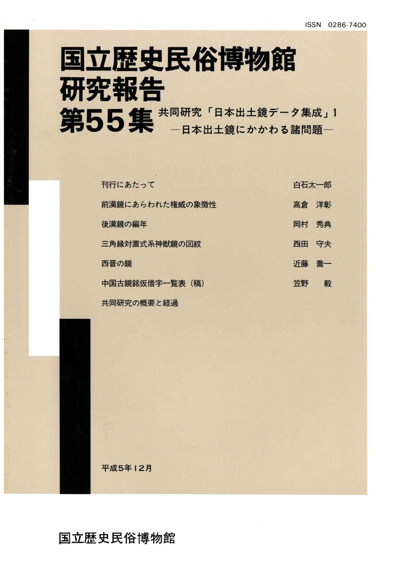## 国立歴史民俗博物館 研究報告 同研究「日本出土鏡データ集成」 日本出土鏡にかかわる諸問題一

| 刊行にあたって         | 白石太一郎 |    |
|-----------------|-------|----|
| 前漢鏡にあらわれた権威の象徴性 | 高倉 洋彰 |    |
| 後漢鏡の編年          | 岡村    | 秀典 |
| 三角縁対置式系神獣鏡の図紋   | 西田    | 守夫 |
| 西晋の鏡            | 沂藤    | 喬一 |
| 中国古鏡銘仮借字一覧表 (稿) | 笠野    | 毅  |
| 共同研究の概要と経過      |       |    |

平成5年12月

国立歴史民俗博物館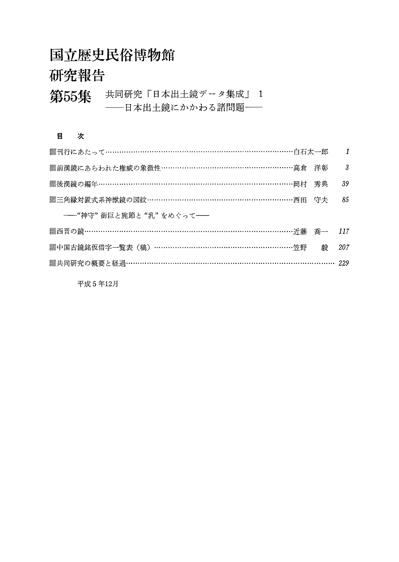## 国立歴史民俗博物館

## 研究報告

#### 第55集 共同研究「日本出土鏡データ集成」 1 --日本出土鏡にかかわる諸問題--

#### 目 次

| ▓刊行にあたって……………………………………………………………………白石太一郎      | $\overline{1}$ |
|----------------------------------------------|----------------|
| ▒前漢鏡にあらわれた権威の象徴性………………………………………………高倉 洋彰      | -3             |
| ▒後漢鏡の編年…………………………………………………………………………岡村 秀典     | 39             |
| ▒三角縁対置式系神獣鏡の図紋……………………………………………………西田 守夫      | 85             |
| ---"神守" 銜巨と旄節と"乳"をめぐって--                     |                |
|                                              |                |
|                                              | 207            |
| ▒共同研究の概要と経過…………………………………………………………………………… 229 |                |

平成5年12月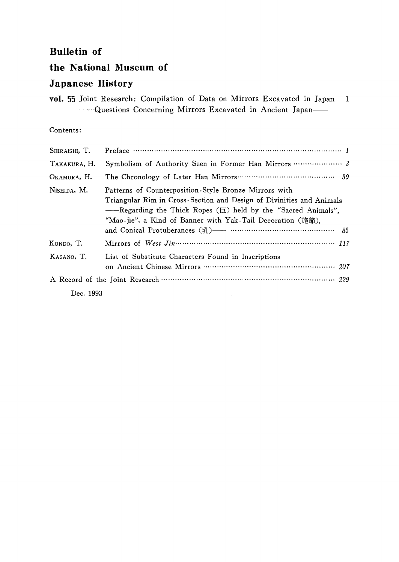#### 正Bulletin of

#### the National Museum of

#### Japanese History

|  | vol. 55 Joint Research: Compilation of Data on Mirrors Excavated in Japan 1 |  |  |  |  |
|--|-----------------------------------------------------------------------------|--|--|--|--|
|  | - Questions Concerning Mirrors Excavated in Ancient Japan                   |  |  |  |  |

#### Contents:

| SHIRAISHI, T. | Preface $\cdots$ $\cdots$ $\cdots$ $\cdots$ $\cdots$ $\cdots$ $\cdots$ $\cdots$ $\cdots$ $\cdots$ $\cdots$ $\cdots$ $\cdots$                                                                                                                                         |
|---------------|----------------------------------------------------------------------------------------------------------------------------------------------------------------------------------------------------------------------------------------------------------------------|
| TAKAKURA, H.  |                                                                                                                                                                                                                                                                      |
| OKAMURA, H.   |                                                                                                                                                                                                                                                                      |
| NISHIDA, M.   | Patterns of Counterposition Style Bronze Mirrors with<br>Triangular Rim in Cross-Section and Design of Divinities and Animals<br>-Regarding the Thick Ropes ( $\equiv$ ) held by the "Sacred Animals",<br>"Mao-jie", a Kind of Banner with Yak-Tail Decoration (旄節), |
| Kondō, T.     |                                                                                                                                                                                                                                                                      |
| KASANO, T.    | List of Substitute Characters Found in Inscriptions                                                                                                                                                                                                                  |
|               |                                                                                                                                                                                                                                                                      |
| Dec. 1993     |                                                                                                                                                                                                                                                                      |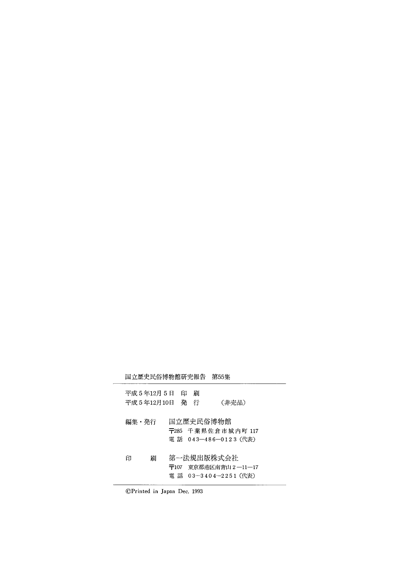|       |                               |      | 国立歴史民俗博物館研究報告 | 第55集                                                    |  |
|-------|-------------------------------|------|---------------|---------------------------------------------------------|--|
|       | 平成 5 年12月 5 日<br>平成 5 年12月10日 |      | 印<br>刷<br>発 行 | (非売品)                                                   |  |
| 編集・発行 |                               |      | 国立歴史民俗博物館     | 〒285 千葉県佐倉市城内町 117<br>電 話 043-486-0123 (代表)             |  |
| 印     | 刷                             | 〒107 |               | 第一法規出版株式会社<br>東京都港区南青山 2 ―11―17<br>電話 03-3404-2251 (代表) |  |

 $\overline{\phantom{0}}$ 

⑥Printed in Japan Dec 1993